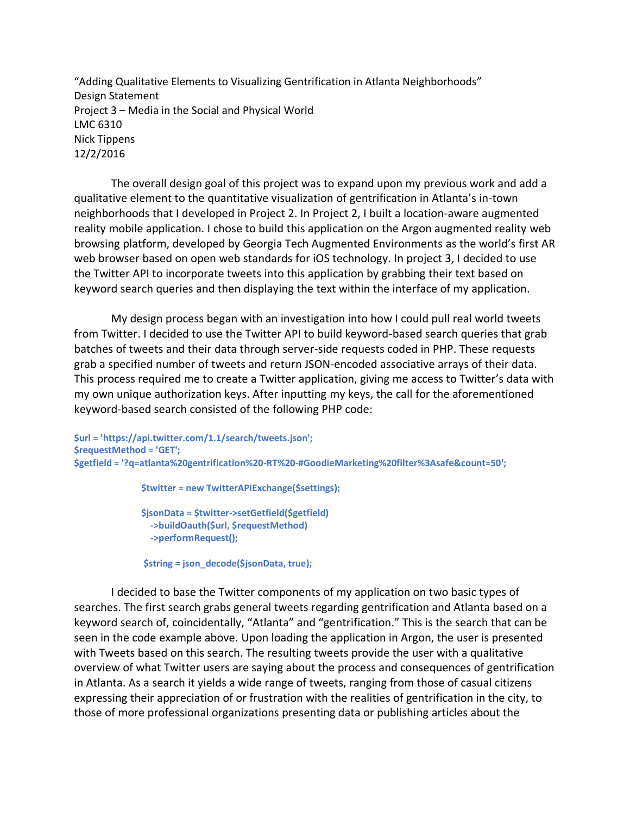"Adding Qualitative Elements to Visualizing Gentrification in Atlanta Neighborhoods" Design Statement Project 3 – Media in the Social and Physical World LMC 6310 Nick Tippens 12/2/2016

The overall design goal of this project was to expand upon my previous work and add a qualitative element to the quantitative visualization of gentrification in Atlanta's in-town neighborhoods that I developed in Project 2. In Project 2, I built a location-aware augmented reality mobile application. I chose to build this application on the Argon augmented reality web browsing platform, developed by Georgia Tech Augmented Environments as the world's first AR web browser based on open web standards for iOS technology. In project 3, I decided to use the Twitter API to incorporate tweets into this application by grabbing their text based on keyword search queries and then displaying the text within the interface of my application.

My design process began with an investigation into how I could pull real world tweets from Twitter. I decided to use the Twitter API to build keyword-based search queries that grab batches of tweets and their data through server-side requests coded in PHP. These requests grab a specified number of tweets and return JSON-encoded associative arrays of their data. This process required me to create a Twitter application, giving me access to Twitter's data with my own unique authorization keys. After inputting my keys, the call for the aforementioned keyword-based search consisted of the following PHP code:

**\$url = 'https://api.twitter.com/1.1/search/tweets.json'; \$requestMethod = 'GET'; \$getfield = '?q=atlanta%20gentrification%20-RT%20-#GoodieMarketing%20filter%3Asafe&count=50';**

 **\$twitter = new TwitterAPIExchange(\$settings);**

 **\$jsonData = \$twitter->setGetfield(\$getfield) ->buildOauth(\$url, \$requestMethod) ->performRequest();**

 **\$string = json\_decode(\$jsonData, true);**

I decided to base the Twitter components of my application on two basic types of searches. The first search grabs general tweets regarding gentrification and Atlanta based on a keyword search of, coincidentally, "Atlanta" and "gentrification." This is the search that can be seen in the code example above. Upon loading the application in Argon, the user is presented with Tweets based on this search. The resulting tweets provide the user with a qualitative overview of what Twitter users are saying about the process and consequences of gentrification in Atlanta. As a search it yields a wide range of tweets, ranging from those of casual citizens expressing their appreciation of or frustration with the realities of gentrification in the city, to those of more professional organizations presenting data or publishing articles about the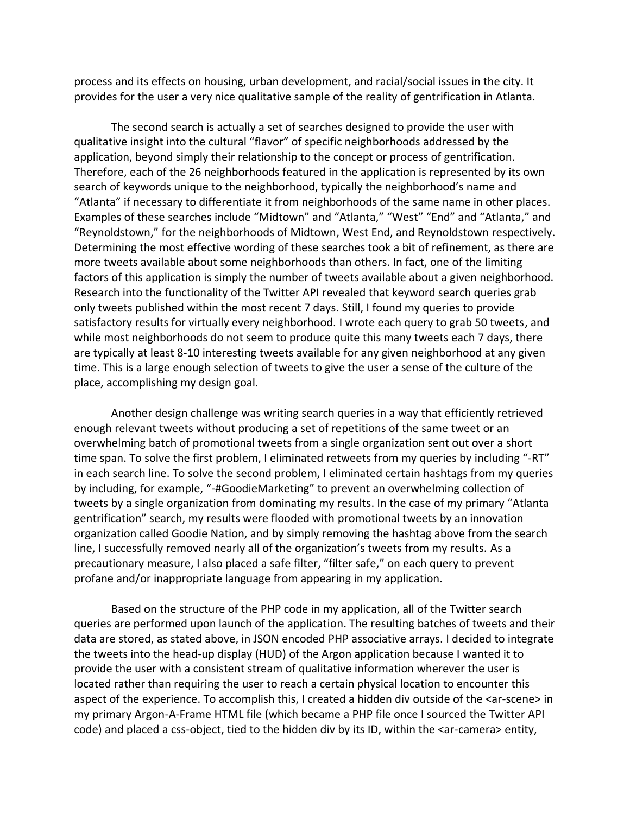process and its effects on housing, urban development, and racial/social issues in the city. It provides for the user a very nice qualitative sample of the reality of gentrification in Atlanta.

The second search is actually a set of searches designed to provide the user with qualitative insight into the cultural "flavor" of specific neighborhoods addressed by the application, beyond simply their relationship to the concept or process of gentrification. Therefore, each of the 26 neighborhoods featured in the application is represented by its own search of keywords unique to the neighborhood, typically the neighborhood's name and "Atlanta" if necessary to differentiate it from neighborhoods of the same name in other places. Examples of these searches include "Midtown" and "Atlanta," "West" "End" and "Atlanta," and "Reynoldstown," for the neighborhoods of Midtown, West End, and Reynoldstown respectively. Determining the most effective wording of these searches took a bit of refinement, as there are more tweets available about some neighborhoods than others. In fact, one of the limiting factors of this application is simply the number of tweets available about a given neighborhood. Research into the functionality of the Twitter API revealed that keyword search queries grab only tweets published within the most recent 7 days. Still, I found my queries to provide satisfactory results for virtually every neighborhood. I wrote each query to grab 50 tweets, and while most neighborhoods do not seem to produce quite this many tweets each 7 days, there are typically at least 8-10 interesting tweets available for any given neighborhood at any given time. This is a large enough selection of tweets to give the user a sense of the culture of the place, accomplishing my design goal.

Another design challenge was writing search queries in a way that efficiently retrieved enough relevant tweets without producing a set of repetitions of the same tweet or an overwhelming batch of promotional tweets from a single organization sent out over a short time span. To solve the first problem, I eliminated retweets from my queries by including "-RT" in each search line. To solve the second problem, I eliminated certain hashtags from my queries by including, for example, "-#GoodieMarketing" to prevent an overwhelming collection of tweets by a single organization from dominating my results. In the case of my primary "Atlanta gentrification" search, my results were flooded with promotional tweets by an innovation organization called Goodie Nation, and by simply removing the hashtag above from the search line, I successfully removed nearly all of the organization's tweets from my results. As a precautionary measure, I also placed a safe filter, "filter safe," on each query to prevent profane and/or inappropriate language from appearing in my application.

Based on the structure of the PHP code in my application, all of the Twitter search queries are performed upon launch of the application. The resulting batches of tweets and their data are stored, as stated above, in JSON encoded PHP associative arrays. I decided to integrate the tweets into the head-up display (HUD) of the Argon application because I wanted it to provide the user with a consistent stream of qualitative information wherever the user is located rather than requiring the user to reach a certain physical location to encounter this aspect of the experience. To accomplish this, I created a hidden div outside of the <ar-scene> in my primary Argon-A-Frame HTML file (which became a PHP file once I sourced the Twitter API code) and placed a css-object, tied to the hidden div by its ID, within the <ar-camera> entity,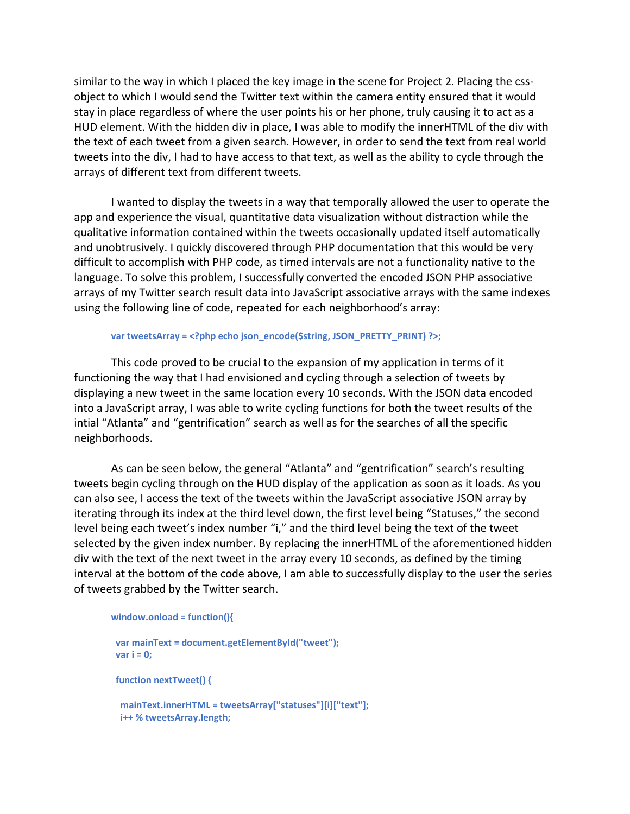similar to the way in which I placed the key image in the scene for Project 2. Placing the cssobject to which I would send the Twitter text within the camera entity ensured that it would stay in place regardless of where the user points his or her phone, truly causing it to act as a HUD element. With the hidden div in place, I was able to modify the innerHTML of the div with the text of each tweet from a given search. However, in order to send the text from real world tweets into the div, I had to have access to that text, as well as the ability to cycle through the arrays of different text from different tweets.

I wanted to display the tweets in a way that temporally allowed the user to operate the app and experience the visual, quantitative data visualization without distraction while the qualitative information contained within the tweets occasionally updated itself automatically and unobtrusively. I quickly discovered through PHP documentation that this would be very difficult to accomplish with PHP code, as timed intervals are not a functionality native to the language. To solve this problem, I successfully converted the encoded JSON PHP associative arrays of my Twitter search result data into JavaScript associative arrays with the same indexes using the following line of code, repeated for each neighborhood's array:

## var tweetsArray = <?php echo json\_encode(\$string, JSON\_PRETTY\_PRINT) ?>;

This code proved to be crucial to the expansion of my application in terms of it functioning the way that I had envisioned and cycling through a selection of tweets by displaying a new tweet in the same location every 10 seconds. With the JSON data encoded into a JavaScript array, I was able to write cycling functions for both the tweet results of the intial "Atlanta" and "gentrification" search as well as for the searches of all the specific neighborhoods.

As can be seen below, the general "Atlanta" and "gentrification" search's resulting tweets begin cycling through on the HUD display of the application as soon as it loads. As you can also see, I access the text of the tweets within the JavaScript associative JSON array by iterating through its index at the third level down, the first level being "Statuses," the second level being each tweet's index number "i," and the third level being the text of the tweet selected by the given index number. By replacing the innerHTML of the aforementioned hidden div with the text of the next tweet in the array every 10 seconds, as defined by the timing interval at the bottom of the code above, I am able to successfully display to the user the series of tweets grabbed by the Twitter search.

```
window.onload = function(){
```

```
 var mainText = document.getElementById("tweet");
 var i = 0;
 function nextTweet() {
  mainText.innerHTML = tweetsArray["statuses"][i]["text"];
  i++ % tweetsArray.length;
```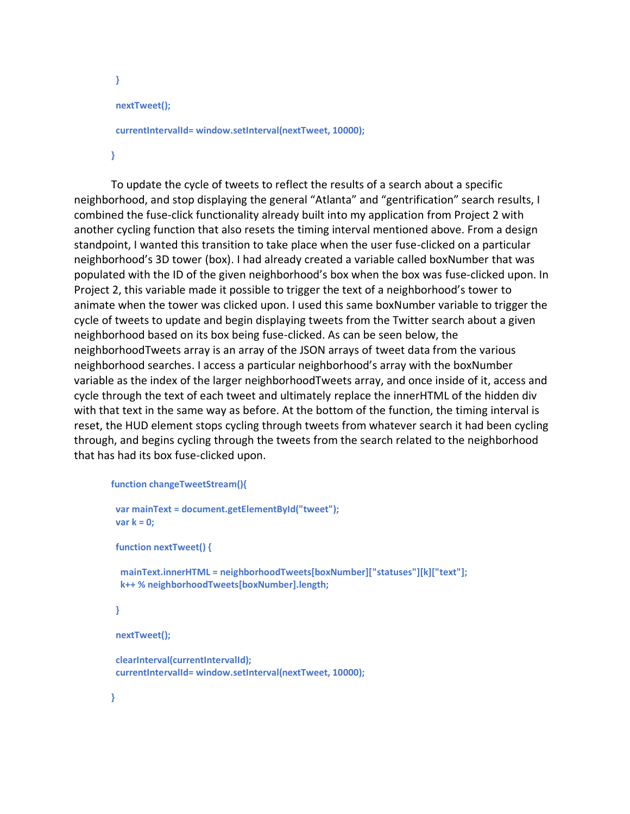```
 }
 nextTweet();
 currentIntervalId= window.setInterval(nextTweet, 10000);
```
**}**

To update the cycle of tweets to reflect the results of a search about a specific neighborhood, and stop displaying the general "Atlanta" and "gentrification" search results, I combined the fuse-click functionality already built into my application from Project 2 with another cycling function that also resets the timing interval mentioned above. From a design standpoint, I wanted this transition to take place when the user fuse-clicked on a particular neighborhood's 3D tower (box). I had already created a variable called boxNumber that was populated with the ID of the given neighborhood's box when the box was fuse-clicked upon. In Project 2, this variable made it possible to trigger the text of a neighborhood's tower to animate when the tower was clicked upon. I used this same boxNumber variable to trigger the cycle of tweets to update and begin displaying tweets from the Twitter search about a given neighborhood based on its box being fuse-clicked. As can be seen below, the neighborhoodTweets array is an array of the JSON arrays of tweet data from the various neighborhood searches. I access a particular neighborhood's array with the boxNumber variable as the index of the larger neighborhoodTweets array, and once inside of it, access and cycle through the text of each tweet and ultimately replace the innerHTML of the hidden div with that text in the same way as before. At the bottom of the function, the timing interval is reset, the HUD element stops cycling through tweets from whatever search it had been cycling through, and begins cycling through the tweets from the search related to the neighborhood that has had its box fuse-clicked upon.

```
function changeTweetStream(){
```

```
 var mainText = document.getElementById("tweet");
 var k = 0;
 function nextTweet() {
  mainText.innerHTML = neighborhoodTweets[boxNumber]["statuses"][k]["text"];
  k++ % neighborhoodTweets[boxNumber].length;
 }
 nextTweet();
 clearInterval(currentIntervalId);
 currentIntervalId= window.setInterval(nextTweet, 10000);
```
**}**